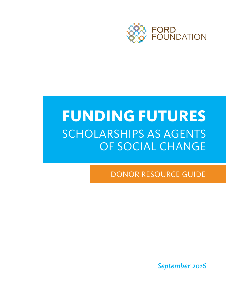

# **FUNDING FUTURES** SCHOLARSHIPS AS AGENTS OF SOCIAL CHANGE

DONOR RESOURCE GUIDE

*September 2016*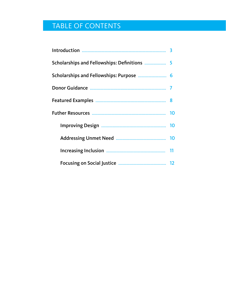# TABLE OF CONTENTS

| Scholarships and Fellowships: Definitions  5 |  |
|----------------------------------------------|--|
| Scholarships and Fellowships: Purpose  6     |  |
|                                              |  |
|                                              |  |
|                                              |  |
|                                              |  |
|                                              |  |
|                                              |  |
|                                              |  |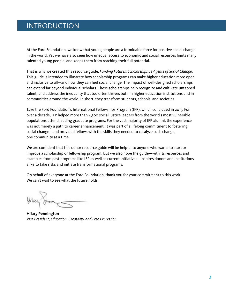# INTRODUCTION

At the Ford Foundation, we know that young people are a formidable force for positive social change in the world. Yet we have also seen how unequal access to economic and social resources limits many talented young people, and keeps them from reaching their full potential.

That is why we created this resource guide, *Funding Futures: Scholarships as Agents of Social Change*. This guide is intended to illustrate how scholarship programs can make higher education more open and inclusive to all—and how they can fuel social change. The impact of well-designed scholarships can extend far beyond individual scholars. These scholarships help recognize and cultivate untapped talent, and address the inequality that too often thrives both in higher education institutions and in communities around the world. In short, they transform students, schools, and societies.

Take the Ford Foundation's International Fellowships Program (IFP), which concluded in 2013. For over a decade, IFP helped more than 4,300 social justice leaders from the world's most vulnerable populations attend leading graduate programs. For the vast majority of IFP alumni, the experience was not merely a path to career enhancement. It was part of a lifelong commitment to fostering social change—and provided fellows with the skills they needed to catalyze such change, one community at a time.

We are confident that this donor resource guide will be helpful to anyone who wants to start or improve a scholarship or fellowship program. But we also hope the guide—with its resources and examples from past programs like IFP as well as current initiatives—inspires donors and institutions alike to take risks and initiate transformational programs.

On behalf of everyone at the Ford Foundation, thank you for your commitment to this work. We can't wait to see what the future holds.

James

**Hilary Pennington**  *Vice President, Education, Creativity, and Free Expression*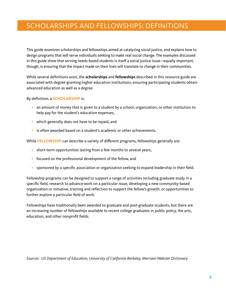# SCHOLARSHIPS AND FELLOWSHIPS: DEFINITIONS

This guide examines scholarships and fellowships aimed at catalyzing social justice, and explains how to design programs that will serve individuals seeking to make real social change. The examples discussed in this guide show that serving needs-based students is itself a social justice issue—equally important, though, is ensuring that the impact made on their lives will translate to change in their communities.

While several definitions exist, the **scholarships** and **fellowships** described in this resource guide are associated with degree-granting higher education institutions, ensuring participating students obtain advanced education as well as a degree.

By definition, a **SCHOLARSHIP** is:

- an amount of money that is given to a student by a school, organization, or other institution to help pay for the student's education expenses,
- which generally does not have to be repaid, and
- is often awarded based on a student's academic or other achievements.

While **FELLOWSHIP** can describe a variety of different programs, fellowships generally are:

- short-term opportunities lasting from a few months to several years,
- focused on the professional development of the fellow, and
- sponsored by a specific association or organization seeking to expand leadership in their field.

Fellowship programs can be designed to support a range of activities including graduate study in a specific field, research to advance work on a particular issue, developing a new community-based organization or initiative, training and reflection to support the fellow's growth, or opportunities to further explore a particular field of work.

Fellowships have traditionally been awarded to graduate and post-graduate students, but there are an increasing number of fellowships available to recent college graduates in public policy, the arts, education, and other nonprofit fields.

*Sources: US Department of Education, University of California-Berkeley, Merriam-Webster Dictionary*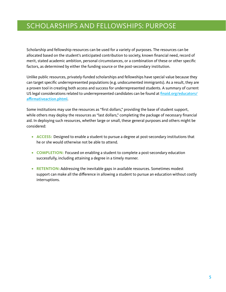# SCHOLARSHIPS AND FELLOWSHIPS: PURPOSE

Scholarship and fellowship resources can be used for a variety of purposes. The resources can be allocated based on the student's anticipated contribution to society, known financial need, record of merit, stated academic ambition, personal circumstances, or a combination of these or other specific factors, as determined by either the funding source or the post-secondary institution.

Unlike public resources, privately-funded scholarships and fellowships have special value because they can target specific underrepresented populations (e.g. undocumented immigrants). As a result, they are a proven tool in creating both access and success for underrepresented students. A summary of current US legal considerations related to underrepresented candidates can be found at [finaid.org/educators/](http://finaid.org/educators/affirmativeaction.phtml) [affirmativeaction.phtml](http://finaid.org/educators/affirmativeaction.phtml).

Some institutions may use the resources as "first dollars," providing the base of student support, while others may deploy the resources as "last dollars," completing the package of necessary financial aid. In deploying such resources, whether large or small, these general purposes and others might be considered:

- **• ACCESS:** Designed to enable a student to pursue a degree at post-secondary institutions that he or she would otherwise not be able to attend.
- **• COMPLETION:** Focused on enabling a student to complete a post-secondary education successfully, including attaining a degree in a timely manner.
- **• RETENTION:** Addressing the inevitable gaps in available resources. Sometimes modest support can make all the difference in allowing a student to pursue an education without costly interruptions.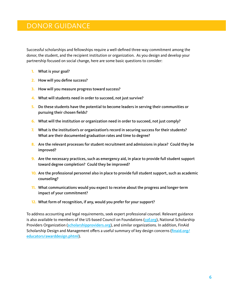## DONOR GUIDANCE

Successful scholarships and fellowships require a well-defined three-way commitment among the donor, the student, and the recipient institution or organization. As you design and develop your partnership focused on social change, here are some basic questions to consider:

- **1.** What is your goal?
- **2.** How will you define success?
- **3.** How will you measure progress toward success?
- **4.** What will students need in order to succeed, not just survive?
- **5.** Do these students have the potential to become leaders in serving their communities or pursuing their chosen fields?
- **6.** What will the institution or organization need in order to succeed, not just comply?
- **7.** What is the institution's or organization's record in securing success for their students? What are their documented graduation rates and time to degree?
- 8. Are the relevant processes for student recruitment and admissions in place? Could they be improved?
- **9.** Are the necessary practices, such as emergency aid, in place to provide full student support toward degree completion? Could they be improved?
- **10.** Are the professional personnel also in place to provide full student support, such as academic counseling?
- **11.** What communications would you expect to receive about the progress and longer-term impact of your commitment?
- **12.** What form of recognition, if any, would you prefer for your support?

To address accounting and legal requirements, seek expert professional counsel. Relevant guidance is also available to members of the US-based Council on Foundations ([cof.org](http://cof.org)), National Scholarship Providers Organization ([scholarshipproviders.org](http://scholarshipproviders.org)), and similar organizations. In addition, FinAid Scholarship Design and Management offers a useful summary of key design concerns (*[finaid.org/](http://finaid.org/educators/awarddesign.phtml)* [educators/awarddesign.phtml](http://finaid.org/educators/awarddesign.phtml)).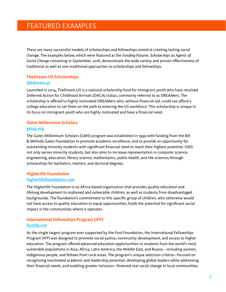## FEATURED EXAMPLES

There are many successful models of scholarships and fellowships aimed at creating lasting social change. The examples below, which were featured at the *Funding Futures: Scholarships as Agents of Social Change* convening in September, 2016, demonstrate the wide variety and proven effectiveness of traditional as well as non-traditional approaches to scholarships and fellowships.

#### **TheDream.US Scholarships** [thedream.us](http://www.thedream.us)

Launched in 2014, TheDream.US is a national scholarship fund for immigrant youth who have received Deferred Action for Childhood Arrivals (DACA) status, commonly referred to as DREAMers. The scholarship is offered to highly motivated DREAMers who, without financial aid, could not afford a college education to set them on the path to entering the US workforce. This scholarship is unique in its focus on immigrant youth who are highly motivated and have a financial need.

#### **Gates Millennium Scholars**

#### [gmsp.org](http://www.gmsp.org)

The Gates Millennium Scholars (GMS) program was established in 1999 with funding from the Bill & Melinda Gates Foundation to promote academic excellence, and to provide an opportunity for outstanding minority students with significant financial need to reach their highest potential. GMS not only serves minority students, but also aims to increase representation in computer science, engineering, education, library science, mathematics, public health, and the sciences through scholarships for bachelors, masters, and doctoral degrees.

#### **Higherlife Foundation** [higherlifefoundation.com](http://www.higherlifefoundation.com)

The Higherlife Foundation is an Africa-based organization that provides quality education and lifelong development to orphaned and vulnerable children, as well as students from disadvantaged backgrounds. The foundation's commitment to this specific group of children, who otherwise would not have access to quality education or equal opportunities, holds the potential for significant social impact in the communities where it operates.

#### **International Fellowships Program (IFP)** [fordifp.net](http://fordifp.net)

As the single largest program ever supported by the Ford Foundation, the International Fellowships Program (IFP) was designed to promote social justice, community development, and access to higher education. The program offered advanced education opportunities to students from the world's most vulnerable populations in Asia, Africa, Latin America, the Middle East, and Russia – including women, indigenous people, and fellows from rural areas. The program's unique selection criteria—focused on recognizing overlooked academic and leadership potential, developing global leaders while addressing their financial needs, and enabling greater inclusion—fostered real social change in local communities.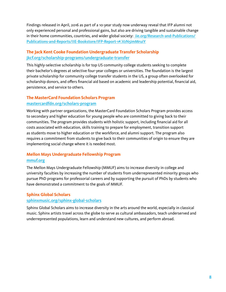Findings released in April, 2016 as part of a 10-year study now underway reveal that IFP alumni not only experienced personal and professional gains, but also are driving tangible and sustainable change in their home communities, countries, and wider global society: [iie.org/Research-and-Publications/](http://www.iie.org/Research-and-Publications/Publications-and-Reports/IIE-Bookstore/IFP-Report-1#.V8Wx8o5zNap) [Publications-and-Reports/IIE-Bookstore/IFP-Report-1#.VzN5imMruiY](http://www.iie.org/Research-and-Publications/Publications-and-Reports/IIE-Bookstore/IFP-Report-1#.V8Wx8o5zNap)

#### **The Jack Kent Cooke Foundation Undergraduate Transfer Scholarship** [jkcf.org/scholarship-programs/undergraduate-transfer](http://jkcf.org/scholarship-programs/undergraduate-transfer)

This highly-selective scholarship is for top US community college students seeking to complete their bachelor's degrees at selective four-year colleges or universities. The foundation is the largest private scholarship for community college transfer students in the US, a group often overlooked for scholarship donors, and offers financial aid based on academic and leadership potential, financial aid, persistence, and service to others.

# **The MasterCard Foundation Scholars Program**

#### [mastercardfdn.org/scholars-program](http://mastercardfdn.org/scholars-program)

Working with partner organizations, the MasterCard Foundation Scholars Program provides access to secondary and higher education for young people who are committed to giving back to their communities. The program provides students with holistic support, including financial aid for all costs associated with education, skills training to prepare for employment, transition support as students move to higher education or the workforce, and alumni support. The program also requires a commitment from students to give back to their communities of origin to ensure they are implementing social change where it is needed most.

#### **Mellon Mays Undergraduate Fellowship Program** [mmuf.org](http://www.mmuf.org/)

The Mellon Mays Undergraduate Fellowship (MMUF) aims to increase diversity in college and university faculties by increasing the number of students from underrepresented minority groups who pursue PhD programs for professorial careers and by supporting the pursuit of PhDs by students who have demonstrated a commitment to the goals of MMUF.

#### **Sphinx Global Scholars**

#### [sphinxmusic.org/sphinx-global-scholars](http://sphinxmusic.org/sphinx-global-scholars)

Sphinx Global Scholars aims to increase diversity in the arts around the world, especially in classical music. Sphinx artists travel across the globe to serve as cultural ambassadors, teach underserved and underrepresented populations, learn and understand new cultures, and perform abroad.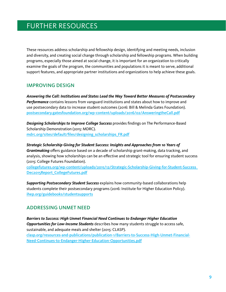# FURTHER RESOURCES

These resources address scholarship and fellowship design, identifying and meeting needs, inclusion and diversity, and creating social change through scholarship and fellowship programs. When building programs, especially those aimed at social change, it is important for an organization to critically examine the goals of the program, the communities and populations it is meant to serve, additional support features, and appropriate partner institutions and organizations to help achieve these goals.

#### IMPROVING DESIGN

*Answering the Call: Institutions and States Lead the Way Toward Better Measures of Postsecondary Performance* contains lessons from vanguard institutions and states about how to improve and use postsecondary data to increase student outcomes (2016: Bill & Melinda Gates Foundation). [postsecondary.gatesfoundation.org/wp-content/uploads/2016/02/AnsweringtheCall.pdf](http://postsecondary.gatesfoundation.org/wp-content/uploads/2016/02/AnsweringtheCall.pdf)

*Designing Scholarships to Improve College Success* provides findings on The Performance-Based Scholarship Demonstration (2015: MDRC). [mdrc.org/sites/default/files/designing\\_scholarships\\_FR.pdf](http://mdrc.org/sites/default/files/designing_scholarships_FR.pdf)

*Strategic Scholarship Giving for Student Success: Insights and Approaches from 10 Years of Grantmaking* offers guidance based on a decade of scholarship grant-making, data tracking, and analysis, showing how scholarships can be an effective and strategic tool for ensuring student success (2015: College Futures Foundation).

[collegefutures.org/wp-content/uploads/2015/12/Strategic-Scholarship-Giving-for-Student-Success\\_](http://collegefutures.org/wp-content/uploads/2015/12/Strategic-Scholarship-Giving-for-Student-Success_Dec2015Report_CollegeFutures.pdf) [Dec2015Report\\_CollegeFutures.pdf](http://collegefutures.org/wp-content/uploads/2015/12/Strategic-Scholarship-Giving-for-Student-Success_Dec2015Report_CollegeFutures.pdf)

*Supporting Postsecondary Student Success* explains how community-based collaborations help students complete their postsecondary programs (2016: Institute for Higher Education Policy). [ihep.org/guidebooks/studentsupports](http://www.ihep.org/guidebook/studentsupports)

#### ADDRESSING UNMET NEED

*Barriers to Success: High Unmet Financial Need Continues to Endanger Higher Education Opportunities for Low-Income Students* describes how many students struggle to access safe, sustainable, and adequate meals and shelter (2015: CLASP).

[clasp.org/resources-and-publications/publication-1/Barriers-to-Success-High-Unmet-Financial-](http://www.clasp.org/resources-and-publications/publication-1/Barriers-to-Success-High-Unmet-Financial-Need-Continues-to-Endanger-Higher-Education-Opportunities.pdf)[Need-Continues-to-Endanger-Higher-Education-Opportunities.pdf](http://www.clasp.org/resources-and-publications/publication-1/Barriers-to-Success-High-Unmet-Financial-Need-Continues-to-Endanger-Higher-Education-Opportunities.pdf)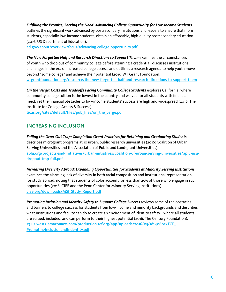*Fulfilling the Promise, Serving the Need: Advancing College Opportunity for Low-Income Students* outlines the significant work advanced by postsecondary institutions and leaders to ensure that more students, especially low-income students, obtain an affordable, high-quality postsecondary education (2016: US Department of Education).

[ed.gov/about/overview/focus/advancing-college-opportunity.pdf](http://ed.gov/about/overview/focus/advancing-college-opportunity.pdf)

*The New Forgotten Half and Research Directions to Support Them* examines the circumstances of youth who drop out of community college before attaining a credential, discusses institutional challenges in the era of increased college access, and outlines a research agenda to help youth move beyond "some college" and achieve their potential (2015: WT Grant Foundation). [wtgrantfoundation.org/resource/the-new-forgotten-half-and-research-directions-to-support-them](http://wtgrantfoundation.org/resource/the-new-forgotten-half-and-research-directions-to-support-them)

**On the Verge: Costs and Tradeoffs Facing Community College Students** explores California, where community college tuition is the lowest in the country and waived for all students with financial need, yet the financial obstacles to low-income students' success are high and widespread (2016: The Institute for College Access & Success).

[ticas.org/sites/default/files/pub\\_files/on\\_the\\_verge.pdf](http://ticas.org/sites/default/files/pub_files/on_the_verge.pdf)

#### INCREASING INCLUSION

*Foiling the Drop-Out Trap: Completion Grant Practices for Retaining and Graduating Students* describes microgrant programs at 10 urban, public research universities (2016: Coalition of Urban Serving Universities and the Association of Public and Land-grant Universities). [aplu.org/projects-and-initiatives/urban-initiatives/coalition-of-urban-serving-universities/aplu-usu](http://aplu.org/projects-and-initiatives/urban-initiatives/coalition-of-urban-serving-universities/aplu-usu-dropout-trap-full.pdf)[dropout-trap-full.pdf](http://aplu.org/projects-and-initiatives/urban-initiatives/coalition-of-urban-serving-universities/aplu-usu-dropout-trap-full.pdf)

*Increasing Diversity Abroad: Expanding Opportunities for Students at Minority Serving Institutions*  examines the alarming lack of diversity in both racial composition and institutional representation for study abroad, noting that students of color account for less than 25% of those who engage in such opportunities (2016: CIEE and the Penn Center for Minority Serving Institutions). [ciee.org/downloads/MSI\\_Study\\_Report.pdf](https://www.ciee.org/downloads/MSI_Study_Report.pdf)

Promoting Inclusion and Identity Safety to Support College Success reviews some of the obstacles and barriers to college success for students from low-income and minority backgrounds and describes what institutions and faculty can do to create an environment of identity safety—where all students are valued, included, and can perform to their highest potential (2016: The Century Foundation). [s3-us-west2.amazonaws.com/production.tcf.org/app/uploads/2016/05/18140602/TCF\\_](https://s3-us-west-2.amazonaws.com/production.tcf.org/app/uploads/2016/05/18140602/TCF_PromotingInclusionandIndentity.pdf) [PromotingInclusionandIndentity.pdf](https://s3-us-west-2.amazonaws.com/production.tcf.org/app/uploads/2016/05/18140602/TCF_PromotingInclusionandIndentity.pdf)